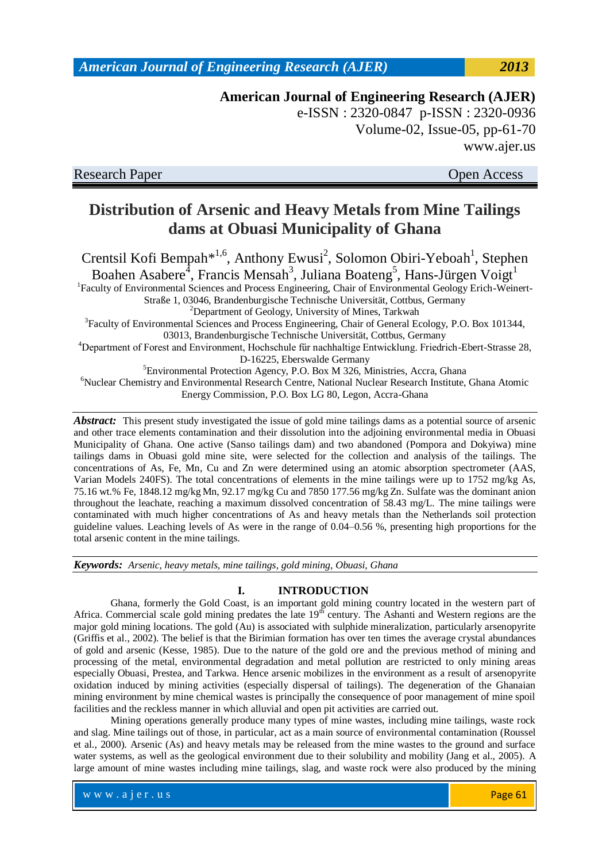**American Journal of Engineering Research (AJER)** e-ISSN : 2320-0847 p-ISSN : 2320-0936 Volume-02, Issue-05, pp-61-70 www.ajer.us

Research Paper Open Access

# **Distribution of Arsenic and Heavy Metals from Mine Tailings dams at Obuasi Municipality of Ghana**

Crentsil Kofi Bempah<sup>\*1,6</sup>, Anthony Ewusi<sup>2</sup>, Solomon Obiri-Yeboah<sup>1</sup>, Stephen Boahen Asabere<sup>4</sup>, Francis Mensah<sup>3</sup>, Juliana Boateng<sup>5</sup>, Hans-Jürgen Voigt<sup>1</sup> <sup>1</sup>Faculty of Environmental Sciences and Process Engineering, Chair of Environmental Geology Erich-Weinert-Straße 1, 03046, Brandenburgische Technische Universität, Cottbus, Germany <sup>2</sup>Department of Geology, University of Mines, Tarkwah <sup>3</sup>Faculty of Environmental Sciences and Process Engineering, Chair of General Ecology, P.O. Box 101344, 03013, Brandenburgische Technische Universität, Cottbus, Germany <sup>4</sup>Department of Forest and Environment, Hochschule fűr nachhaltige Entwicklung. Friedrich-Ebert-Strasse 28, D-16225, Eberswalde Germany <sup>5</sup>Environmental Protection Agency, P.O. Box M 326, Ministries, Accra, Ghana <sup>6</sup>Nuclear Chemistry and Environmental Research Centre, National Nuclear Research Institute, Ghana Atomic Energy Commission, P.O. Box LG 80, Legon, Accra-Ghana

*Abstract:*This present study investigated the issue of gold mine tailings dams as a potential source of arsenic and other trace elements contamination and their dissolution into the adjoining environmental media in Obuasi Municipality of Ghana. One active (Sanso tailings dam) and two abandoned (Pompora and Dokyiwa) mine tailings dams in Obuasi gold mine site, were selected for the collection and analysis of the tailings. The concentrations of As, Fe, Mn, Cu and Zn were determined using an atomic absorption spectrometer (AAS, Varian Models 240FS). The total concentrations of elements in the mine tailings were up to 1752 mg/kg As, 75.16 wt.% Fe, 1848.12 mg/kg Mn, 92.17 mg/kg Cu and 7850 177.56 mg/kg Zn. Sulfate was the dominant anion throughout the leachate, reaching a maximum dissolved concentration of 58.43 mg/L. The mine tailings were contaminated with much higher concentrations of As and heavy metals than the Netherlands soil protection guideline values. Leaching levels of As were in the range of 0.04–0.56 %, presenting high proportions for the total arsenic content in the mine tailings.

*Keywords: Arsenic, heavy metals, mine tailings, gold mining, Obuasi, Ghana*

### **I. INTRODUCTION**

Ghana, formerly the Gold Coast, is an important gold mining country located in the western part of Africa. Commercial scale gold mining predates the late  $19<sup>th</sup>$  century. The Ashanti and Western regions are the major gold mining locations. The gold (Au) is associated with sulphide mineralization, particularly arsenopyrite (Griffis et al., 2002). The belief is that the Birimian formation has over ten times the average crystal abundances of gold and arsenic (Kesse, 1985). Due to the nature of the gold ore and the previous method of mining and processing of the metal, environmental degradation and metal pollution are restricted to only mining areas especially Obuasi, Prestea, and Tarkwa. Hence arsenic mobilizes in the environment as a result of arsenopyrite oxidation induced by mining activities (especially dispersal of tailings). The degeneration of the Ghanaian mining environment by mine chemical wastes is principally the consequence of poor management of mine spoil facilities and the reckless manner in which alluvial and open pit activities are carried out.

Mining operations generally produce many types of mine wastes, including mine tailings, waste rock and slag. Mine tailings out of those, in particular, act as a main source of environmental contamination (Roussel et al., 2000). Arsenic (As) and heavy metals may be released from the mine wastes to the ground and surface water systems, as well as the geological environment due to their solubility and mobility (Jang et al., 2005). A large amount of mine wastes including mine tailings, slag, and waste rock were also produced by the mining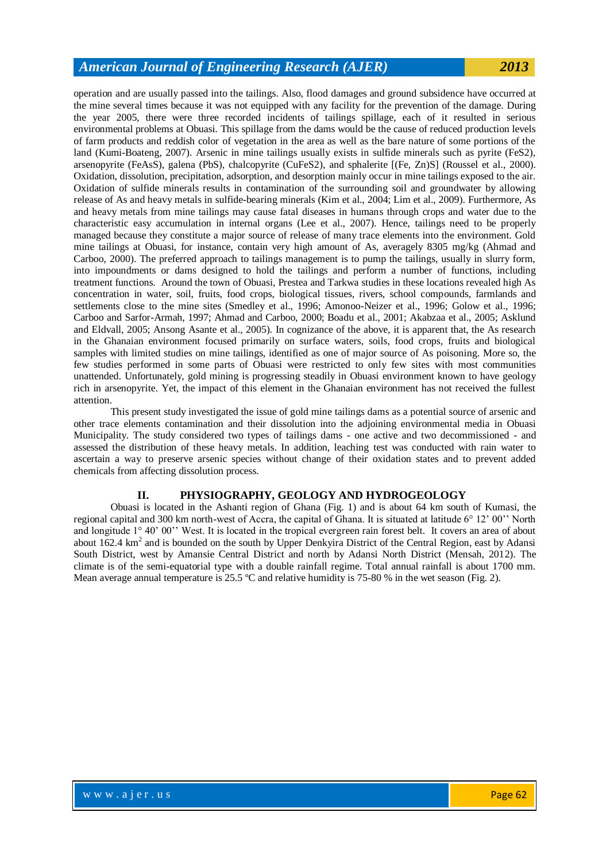operation and are usually passed into the tailings. Also, flood damages and ground subsidence have occurred at the mine several times because it was not equipped with any facility for the prevention of the damage. During the year 2005, there were three recorded incidents of tailings spillage, each of it resulted in serious environmental problems at Obuasi. This spillage from the dams would be the cause of reduced production levels of farm products and reddish color of vegetation in the area as well as the bare nature of some portions of the land (Kumi-Boateng, 2007). Arsenic in mine tailings usually exists in sulfide minerals such as pyrite (FeS2), arsenopyrite (FeAsS), galena (PbS), chalcopyrite (CuFeS2), and sphalerite [(Fe, Zn)S] (Roussel et al., 2000). Oxidation, dissolution, precipitation, adsorption, and desorption mainly occur in mine tailings exposed to the air. Oxidation of sulfide minerals results in contamination of the surrounding soil and groundwater by allowing release of As and heavy metals in sulfide-bearing minerals (Kim et al., 2004; Lim et al., 2009). Furthermore, As and heavy metals from mine tailings may cause fatal diseases in humans through crops and water due to the characteristic easy accumulation in internal organs (Lee et al., 2007). Hence, tailings need to be properly managed because they constitute a major source of release of many trace elements into the environment. Gold mine tailings at Obuasi, for instance, contain very high amount of As, averagely 8305 mg/kg (Ahmad and Carboo, 2000). The preferred approach to tailings management is to pump the tailings, usually in slurry form, into impoundments or dams designed to hold the tailings and perform a number of functions, including treatment functions. Around the town of Obuasi, Prestea and Tarkwa studies in these locations revealed high As concentration in water, soil, fruits, food crops, biological tissues, rivers, school compounds, farmlands and settlements close to the mine sites (Smedley et al., 1996; Amonoo-Neizer et al., 1996; Golow et al., 1996; Carboo and Sarfor-Armah, 1997; Ahmad and Carboo, 2000; Boadu et al., 2001; Akabzaa et al., 2005; Asklund and Eldvall, 2005; Ansong Asante et al., 2005). In cognizance of the above, it is apparent that, the As research in the Ghanaian environment focused primarily on surface waters, soils, food crops, fruits and biological samples with limited studies on mine tailings, identified as one of major source of As poisoning. More so, the few studies performed in some parts of Obuasi were restricted to only few sites with most communities unattended. Unfortunately, gold mining is progressing steadily in Obuasi environment known to have geology rich in arsenopyrite. Yet, the impact of this element in the Ghanaian environment has not received the fullest attention.

This present study investigated the issue of gold mine tailings dams as a potential source of arsenic and other trace elements contamination and their dissolution into the adjoining environmental media in Obuasi Municipality. The study considered two types of tailings dams - one active and two decommissioned - and assessed the distribution of these heavy metals. In addition, leaching test was conducted with rain water to ascertain a way to preserve arsenic species without change of their oxidation states and to prevent added chemicals from affecting dissolution process.

### **II. PHYSIOGRAPHY, GEOLOGY AND HYDROGEOLOGY**

Obuasi is located in the Ashanti region of Ghana (Fig. 1) and is about 64 km south of Kumasi, the regional capital and 300 km north-west of Accra, the capital of Ghana. It is situated at latitude 6° 12' 00'' North and longitude 1° 40' 00'' West. It is located in the tropical evergreen rain forest belt. It covers an area of about about  $162.4 \text{ km}^2$  and is bounded on the south by Upper Denkyira District of the Central Region, east by Adansi South District, west by Amansie Central District and north by Adansi North District (Mensah, 2012). The climate is of the semi-equatorial type with a double rainfall regime. Total annual rainfall is about 1700 mm. Mean average annual temperature is 25.5 °C and relative humidity is 75-80 % in the wet season (Fig. 2).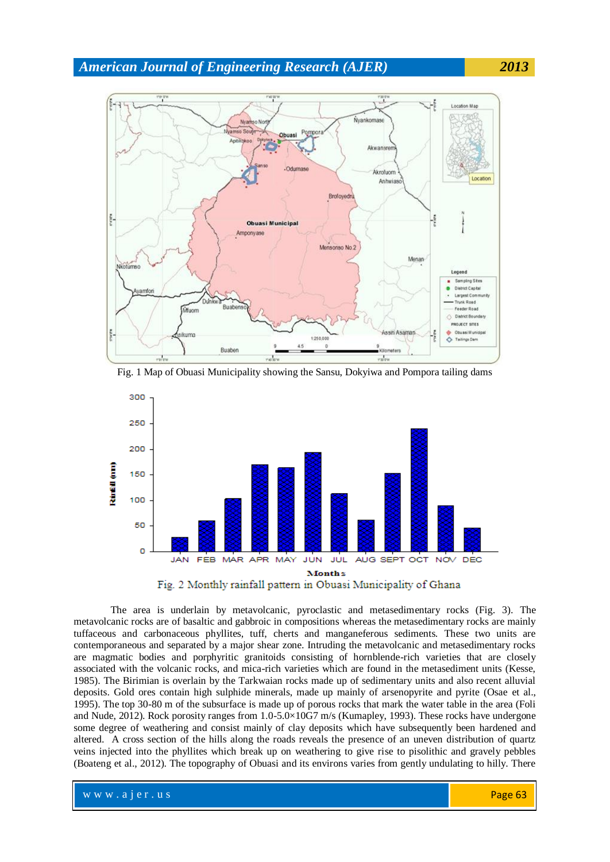





The area is underlain by metavolcanic, pyroclastic and metasedimentary rocks (Fig. 3). The metavolcanic rocks are of basaltic and gabbroic in compositions whereas the metasedimentary rocks are mainly tuffaceous and carbonaceous phyllites, tuff, cherts and manganeferous sediments. These two units are contemporaneous and separated by a major shear zone. Intruding the metavolcanic and metasedimentary rocks are magmatic bodies and porphyritic granitoids consisting of hornblende-rich varieties that are closely associated with the volcanic rocks, and mica-rich varieties which are found in the metasediment units (Kesse, 1985). The Birimian is overlain by the Tarkwaian rocks made up of sedimentary units and also recent alluvial deposits. Gold ores contain high sulphide minerals, made up mainly of arsenopyrite and pyrite (Osae et al., 1995). The top 30-80 m of the subsurface is made up of porous rocks that mark the water table in the area (Foli and Nude, 2012). Rock porosity ranges from 1.0-5.0×10G7 m/s (Kumapley, 1993). These rocks have undergone some degree of weathering and consist mainly of clay deposits which have subsequently been hardened and altered. A cross section of the hills along the roads reveals the presence of an uneven distribution of quartz veins injected into the phyllites which break up on weathering to give rise to pisolithic and gravely pebbles (Boateng et al., 2012). The topography of Obuasi and its environs varies from gently undulating to hilly. There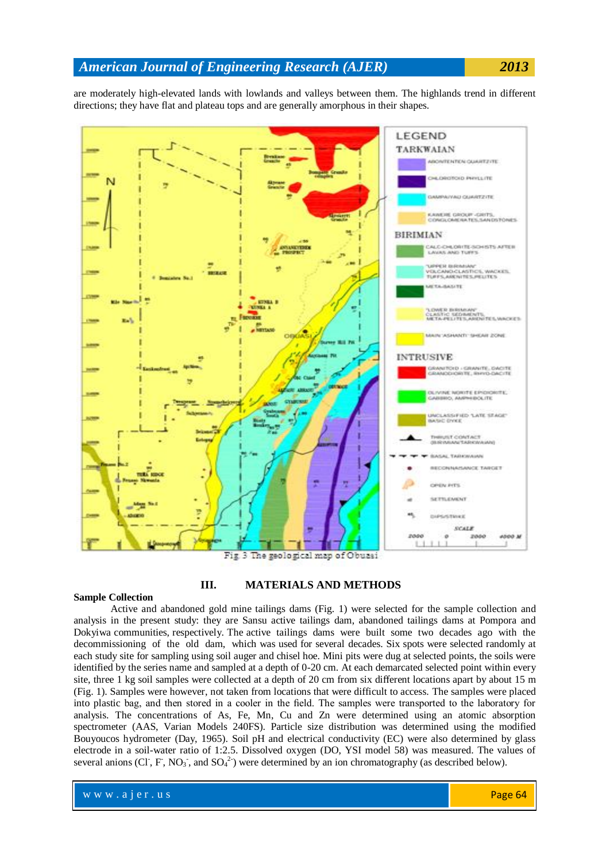are moderately high-elevated lands with lowlands and valleys between them. The highlands trend in different directions; they have flat and plateau tops and are generally amorphous in their shapes.



Fig. 3 The geological map of Obuasi

#### **Sample Collection**

### **III. MATERIALS AND METHODS**

Active and abandoned gold mine tailings dams (Fig. 1) were selected for the sample collection and analysis in the present study: they are Sansu active tailings dam, abandoned tailings dams at Pompora and Dokyiwa communities, respectively. The active tailings dams were built some two decades ago with the decommissioning of the old dam, which was used for several decades. Six spots were selected randomly at each study site for sampling using soil auger and chisel hoe. Mini pits were dug at selected points, the soils were identified by the series name and sampled at a depth of 0-20 cm. At each demarcated selected point within every site, three 1 kg soil samples were collected at a depth of 20 cm from six different locations apart by about 15 m (Fig. 1). Samples were however, not taken from locations that were difficult to access. The samples were placed into plastic bag, and then stored in a cooler in the field. The samples were transported to the laboratory for analysis. The concentrations of As, Fe, Mn, Cu and Zn were determined using an atomic absorption spectrometer (AAS, Varian Models 240FS). Particle size distribution was determined using the modified Bouyoucos hydrometer (Day, 1965). Soil pH and electrical conductivity (EC) were also determined by glass electrode in a soil-water ratio of 1:2.5. Dissolved oxygen (DO, YSI model 58) was measured. The values of several anions (Cl, F, NO<sub>3</sub>, and SO<sub>4</sub><sup>2</sup>) were determined by an ion chromatography (as described below).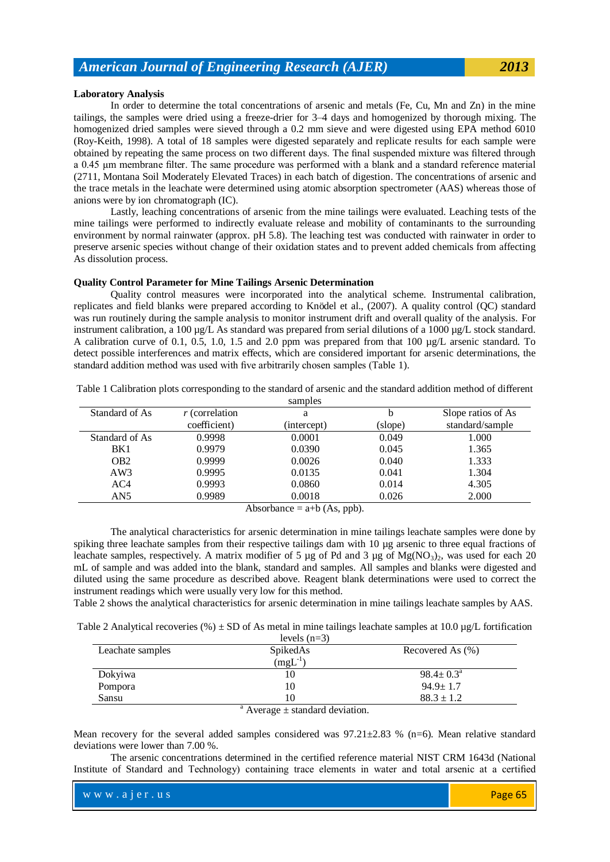### **Laboratory Analysis**

In order to determine the total concentrations of arsenic and metals (Fe, Cu, Mn and Zn) in the mine tailings, the samples were dried using a freeze-drier for 3–4 days and homogenized by thorough mixing. The homogenized dried samples were sieved through a 0.2 mm sieve and were digested using EPA method 6010 (Roy-Keith, 1998). A total of 18 samples were digested separately and replicate results for each sample were obtained by repeating the same process on two different days. The final suspended mixture was filtered through a 0.45 µm membrane filter. The same procedure was performed with a blank and a standard reference material (2711, Montana Soil Moderately Elevated Traces) in each batch of digestion. The concentrations of arsenic and the trace metals in the leachate were determined using atomic absorption spectrometer (AAS) whereas those of anions were by ion chromatograph (IC).

Lastly, leaching concentrations of arsenic from the mine tailings were evaluated. Leaching tests of the mine tailings were performed to indirectly evaluate release and mobility of contaminants to the surrounding environment by normal rainwater (approx. pH 5.8). The leaching test was conducted with rainwater in order to preserve arsenic species without change of their oxidation states and to prevent added chemicals from affecting As dissolution process.

#### **Quality Control Parameter for Mine Tailings Arsenic Determination**

Quality control measures were incorporated into the analytical scheme. Instrumental calibration, replicates and field blanks were prepared according to Knödel et al., (2007). A quality control (QC) standard was run routinely during the sample analysis to monitor instrument drift and overall quality of the analysis. For instrument calibration, a 100 µg/L As standard was prepared from serial dilutions of a 1000 µg/L stock standard. A calibration curve of 0.1, 0.5, 1.0, 1.5 and 2.0 ppm was prepared from that 100 µg/L arsenic standard. To detect possible interferences and matrix effects, which are considered important for arsenic determinations, the standard addition method was used with five arbitrarily chosen samples (Table 1).

|                 |                  | samples     |         |                    |
|-----------------|------------------|-------------|---------|--------------------|
| Standard of As  | $r$ (correlation | a           | b       | Slope ratios of As |
|                 | coefficient)     | (intercept) | (slope) | standard/sample    |
| Standard of As  | 0.9998           | 0.0001      | 0.049   | 1.000              |
| BK1             | 0.9979           | 0.0390      | 0.045   | 1.365              |
| OB <sub>2</sub> | 0.9999           | 0.0026      | 0.040   | 1.333              |
| AW3             | 0.9995           | 0.0135      | 0.041   | 1.304              |
| AC4             | 0.9993           | 0.0860      | 0.014   | 4.305              |
| AN5             | 0.9989           | 0.0018      | 0.026   | 2.000              |

Table 1 Calibration plots corresponding to the standard of arsenic and the standard addition method of different

Absorbance  $=$  a+b (As, ppb).

The analytical characteristics for arsenic determination in mine tailings leachate samples were done by spiking three leachate samples from their respective tailings dam with 10 µg arsenic to three equal fractions of leachate samples, respectively. A matrix modifier of 5  $\mu$ g of Pd and 3  $\mu$ g of Mg(NO<sub>3</sub>)<sub>2</sub>, was used for each 20 mL of sample and was added into the blank, standard and samples. All samples and blanks were digested and diluted using the same procedure as described above. Reagent blank determinations were used to correct the instrument readings which were usually very low for this method.

Table 2 shows the analytical characteristics for arsenic determination in mine tailings leachate samples by AAS.

Table 2 Analytical recoveries (%)  $\pm$  SD of As metal in mine tailings leachate samples at 10.0 µg/L fortification

| levels $(n=3)$   |                     |                        |  |  |  |  |  |
|------------------|---------------------|------------------------|--|--|--|--|--|
| Leachate samples | SpikedAs            | Recovered As (%)       |  |  |  |  |  |
|                  | $(mgL^{-1})$        |                        |  |  |  |  |  |
| Dokyiwa          | 10                  | $98.4 \pm 0.3^{\circ}$ |  |  |  |  |  |
| Pompora          | 10                  | $94.9 \pm 1.7$         |  |  |  |  |  |
| Sansu            | 10                  | $88.3 \pm 1.2$         |  |  |  |  |  |
|                  | $\mathbf{a}$ .<br>. |                        |  |  |  |  |  |

 $a$  Average  $\pm$  standard deviation.

Mean recovery for the several added samples considered was  $97.21 \pm 2.83$  % (n=6). Mean relative standard deviations were lower than 7.00 %.

The arsenic concentrations determined in the certified reference material NIST CRM 1643d (National Institute of Standard and Technology) containing trace elements in water and total arsenic at a certified

| $\mathbb{W}$ W W . a $1$ e $\Gamma$ . u s | Page 65 |
|-------------------------------------------|---------|
|                                           |         |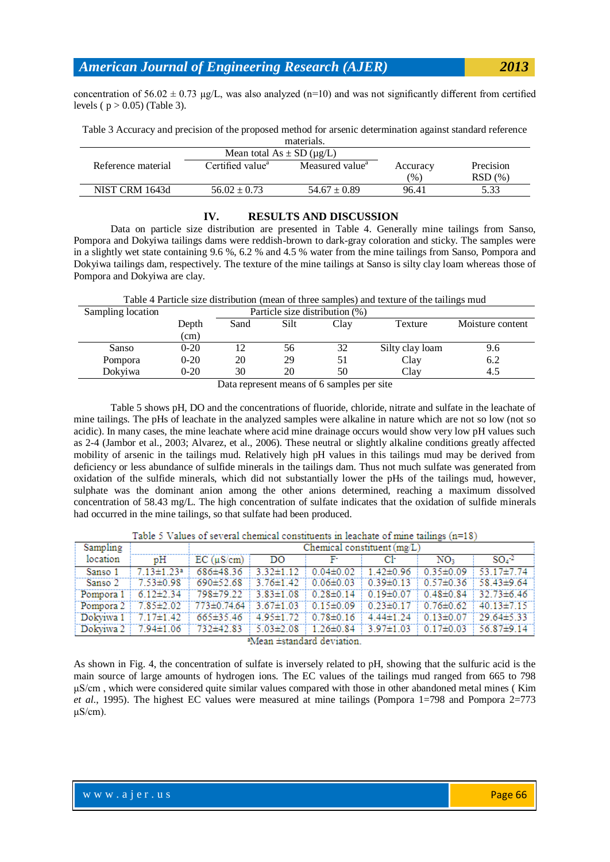concentration of  $56.02 \pm 0.73$  µg/L, was also analyzed (n=10) and was not significantly different from certified levels ( $p > 0.05$ ) (Table 3).

Table 3 Accuracy and precision of the proposed method for arsenic determination against standard reference materials.

|                    | Mean total $As \pm SD$ ( $\mu$ g/L) |                             |               |           |
|--------------------|-------------------------------------|-----------------------------|---------------|-----------|
| Reference material | Certified value <sup>a</sup>        | Measured value <sup>a</sup> | Accuracy      | Precision |
|                    |                                     |                             | $\frac{9}{6}$ | RSD(%)    |
| NIST CRM 1643d     | $56.02 \pm 0.73$                    | $54.67 \pm 0.89$            | 96.41         | 5.33      |

### **IV. RESULTS AND DISCUSSION**

Data on particle size distribution are presented in Table 4. Generally mine tailings from Sanso, Pompora and Dokyiwa tailings dams were reddish-brown to dark-gray coloration and sticky. The samples were in a slightly wet state containing 9.6 %, 6.2 % and 4.5 % water from the mine tailings from Sanso, Pompora and Dokyiwa tailings dam, respectively. The texture of the mine tailings at Sanso is silty clay loam whereas those of Pompora and Dokyiwa are clay.

Table 4 Particle size distribution (mean of three samples) and texture of the tailings mud

| Sampling location | Particle size distribution (%) |                      |    |    |                 |                  |  |  |
|-------------------|--------------------------------|----------------------|----|----|-----------------|------------------|--|--|
|                   | Depth                          | Silt<br>Sand<br>Clay |    |    | Texture         | Moisture content |  |  |
|                   | (cm)                           |                      |    |    |                 |                  |  |  |
| Sanso             | $0 - 20$                       |                      | 56 | 32 | Silty clay loam | 9.6              |  |  |
| Pompora           | $0 - 20$                       | 20                   | 29 |    | Clay            | 6.2              |  |  |
| Dokviwa           | $0 - 20$                       | 30                   | 20 | 50 | Clav            | 4.5              |  |  |

Data represent means of 6 samples per site

Table 5 shows pH, DO and the concentrations of fluoride, chloride, nitrate and sulfate in the leachate of mine tailings. The pHs of leachate in the analyzed samples were alkaline in nature which are not so low (not so acidic). In many cases, the mine leachate where acid mine drainage occurs would show very low pH values such as 2-4 (Jambor et al., 2003; Alvarez, et al., 2006). These neutral or slightly alkaline conditions greatly affected mobility of arsenic in the tailings mud. Relatively high pH values in this tailings mud may be derived from deficiency or less abundance of sulfide minerals in the tailings dam. Thus not much sulfate was generated from oxidation of the sulfide minerals, which did not substantially lower the pHs of the tailings mud, however, sulphate was the dominant anion among the other anions determined, reaching a maximum dissolved concentration of 58.43 mg/L. The high concentration of sulfate indicates that the oxidation of sulfide minerals had occurred in the mine tailings, so that sulfate had been produced.

| Table 5 Values of several chemical constituents in leachate of mine tailings (n=18) |  |  |  |  |
|-------------------------------------------------------------------------------------|--|--|--|--|
|                                                                                     |  |  |  |  |

| Sampling                       |                            | Chemical constituent $(mg/L)$                                                       |    |                    |                                               |                 |                                                                                                    |  |
|--------------------------------|----------------------------|-------------------------------------------------------------------------------------|----|--------------------|-----------------------------------------------|-----------------|----------------------------------------------------------------------------------------------------|--|
| location                       | pH                         | $EC$ ( $\mu$ S/cm)                                                                  | DO | in Fran            | Сŀ                                            | NO <sub>3</sub> | $SO4$ <sup>-2</sup>                                                                                |  |
| Sanso 1                        | $713 \pm 123$ <sup>a</sup> | $686\pm48.36$ 3.32 $\pm1.12$                                                        |    |                    | $0.04\pm0.02$   $1.42\pm0.96$   $0.35\pm0.09$ |                 | $53.17 \pm 7.74$                                                                                   |  |
| Sanso 2                        | 7 53±0 98                  |                                                                                     |    |                    |                                               |                 | $690\pm52.68$ 3.76 $\pm1.42$ 0.06 $\pm0.03$ 0.39 $\pm0.13$ 0.57 $\pm0.36$ 58.43 $\pm9.64$          |  |
| Pompora 1                      |                            |                                                                                     |    |                    |                                               |                 | $6.12\pm2.34$ $798\pm79.22$ $3.83\pm1.08$ $0.28\pm0.14$ $0.19\pm0.07$ $0.48\pm0.84$ $32.73\pm6.46$ |  |
| Pompora $2 \div 7.85 \pm 2.02$ |                            | $773\pm0.74.64$   3.67 $\pm1.03$   0.15 $\pm0.09$   0.23 $\pm0.17$   0.76 $\pm0.62$ |    |                    |                                               |                 | $40.13 \pm 7.15$                                                                                   |  |
| Dokviwa $1 + 7.17 \pm 1.42$    |                            |                                                                                     |    |                    |                                               |                 | $665\pm35.46$ 4.95 $\pm1.72$ 0.78 $\pm0.16$ 4.44 $\pm1.24$ 0.13 $\pm0.07$ 29.64 $\pm5.33$          |  |
|                                |                            | Dokyiwa 2 7.94±1.06 732±42.83 5.03±2.08                                             |    | <b>All Andrews</b> |                                               |                 | $1.26\pm0.84$   $3.97\pm1.03$   $0.17\pm0.03$   $56.87\pm9.14$                                     |  |

<sup>a</sup>Mean ±standard deviation.

As shown in Fig. 4, the concentration of sulfate is inversely related to pH, showing that the sulfuric acid is the main source of large amounts of hydrogen ions. The EC values of the tailings mud ranged from 665 to 798 μS/cm , which were considered quite similar values compared with those in other abandoned metal mines ( Kim *et al*., 1995). The highest EC values were measured at mine tailings (Pompora 1=798 and Pompora 2=773  $\mu$ S/cm).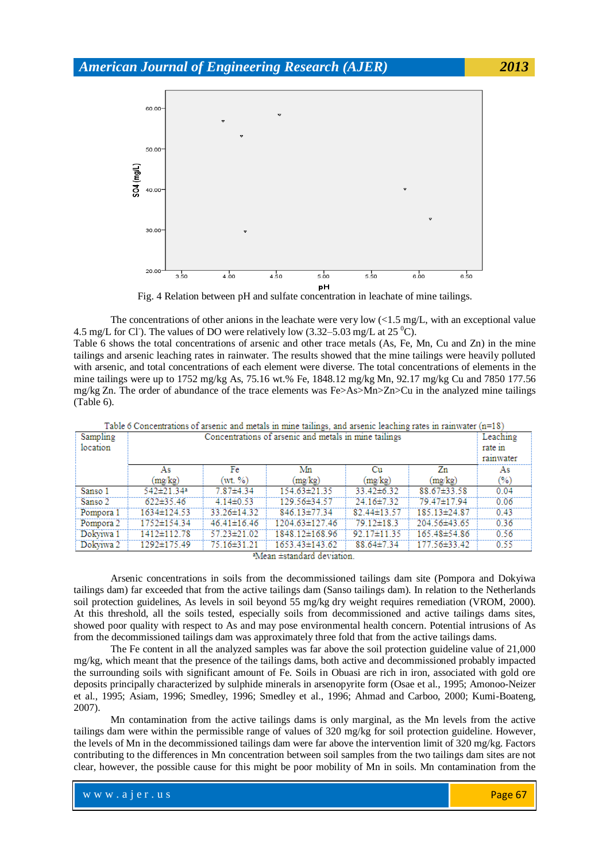

Fig. 4 Relation between pH and sulfate concentration in leachate of mine tailings.

The concentrations of other anions in the leachate were very low  $\langle$  (1.5 mg/L, with an exceptional value 4.5 mg/L for Cl<sup>-</sup>). The values of DO were relatively low  $(3.32-5.03 \text{ mg/L at } 25 \degree \text{C})$ .

Table 6 shows the total concentrations of arsenic and other trace metals (As, Fe, Mn, Cu and Zn) in the mine tailings and arsenic leaching rates in rainwater. The results showed that the mine tailings were heavily polluted with arsenic, and total concentrations of each element were diverse. The total concentrations of elements in the mine tailings were up to 1752 mg/kg As, 75.16 wt.% Fe, 1848.12 mg/kg Mn, 92.17 mg/kg Cu and 7850 177.56 mg/kg Zn. The order of abundance of the trace elements was Fe>As>Mn>Zn>Cu in the analyzed mine tailings (Table 6).

| Sampling<br>location | Concentrations of arsenic and metals in mine tailings |                   |                      |                  |              |      |  |
|----------------------|-------------------------------------------------------|-------------------|----------------------|------------------|--------------|------|--|
|                      | As                                                    | Fe                | Mn                   | Сu               | Zn           | As   |  |
|                      | (mg/kg)                                               | (wt. %)           | (mg/kg)              | (mg/kg)          | (mg/kg)      | (%)  |  |
| Sanso 1              | 542±21.34ª                                            | $7.87\pm4.34$     | 154.63±21.35         | $33.42\pm 6.32$  | 88.67±33.58  | 0.04 |  |
| Sanso 2              | $622\pm35.46$                                         | $4.14\pm0.53$     | 129.56±34.57         | $24.16 \pm 7.32$ | 79.47±17.94  | 0.06 |  |
| Pompora 1            | 1634±124.53                                           | 33.26±14.32       | 846 13±77 34         | $82.44\pm13.57$  | 185.13±24.87 | 0.43 |  |
| Pompora 2            | 1752±154.34                                           | $46.41 \pm 16.46$ | 1204.63±127.46       | 79.12±18.3       | 204.56±43.65 | 0.36 |  |
| Dokviwa 1            | 1412±112.78                                           | 57.23±21.02       | 1848.12±168.96       | 92.17±11.35      | 165.48±54.86 | 0.56 |  |
| Dokviwa 2            | 1292±175.49                                           | 75.16±31.21       | $1653.43 \pm 143.62$ | $88.64\pm7.34$   | 177.56±33.42 | 0.55 |  |

Table 6 Concentrations of arsenic and metals in mine tailings, and arsenic leaching rates in rainwater  $(n=18)$ 

<sup>a</sup>Mean ±standard deviation.

Arsenic concentrations in soils from the decommissioned tailings dam site (Pompora and Dokyiwa tailings dam) far exceeded that from the active tailings dam (Sanso tailings dam). In relation to the Netherlands soil protection guidelines, As levels in soil beyond 55 mg/kg dry weight requires remediation (VROM, 2000). At this threshold, all the soils tested, especially soils from decommissioned and active tailings dams sites, showed poor quality with respect to As and may pose environmental health concern. Potential intrusions of As from the decommissioned tailings dam was approximately three fold that from the active tailings dams.

The Fe content in all the analyzed samples was far above the soil protection guideline value of 21,000 mg/kg, which meant that the presence of the tailings dams, both active and decommissioned probably impacted the surrounding soils with significant amount of Fe. Soils in Obuasi are rich in iron, associated with gold ore deposits principally characterized by sulphide minerals in arsenopyrite form (Osae et al., 1995; Amonoo-Neizer et al., 1995; Asiam, 1996; Smedley, 1996; Smedley et al., 1996; Ahmad and Carboo, 2000; Kumi-Boateng, 2007).

Mn contamination from the active tailings dams is only marginal, as the Mn levels from the active tailings dam were within the permissible range of values of 320 mg/kg for soil protection guideline. However, the levels of Mn in the decommissioned tailings dam were far above the intervention limit of 320 mg/kg. Factors contributing to the differences in Mn concentration between soil samples from the two tailings dam sites are not clear, however, the possible cause for this might be poor mobility of Mn in soils. Mn contamination from the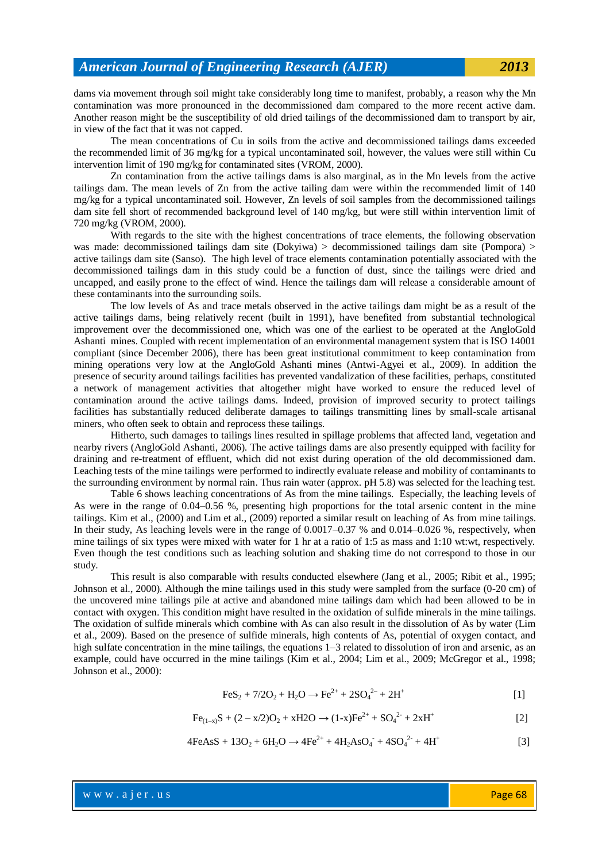dams via movement through soil might take considerably long time to manifest, probably, a reason why the Mn contamination was more pronounced in the decommissioned dam compared to the more recent active dam. Another reason might be the susceptibility of old dried tailings of the decommissioned dam to transport by air, in view of the fact that it was not capped.

The mean concentrations of Cu in soils from the active and decommissioned tailings dams exceeded the recommended limit of 36 mg/kg for a typical uncontaminated soil, however, the values were still within Cu intervention limit of 190 mg/kg for contaminated sites (VROM, 2000).

Zn contamination from the active tailings dams is also marginal, as in the Mn levels from the active tailings dam. The mean levels of Zn from the active tailing dam were within the recommended limit of 140 mg/kg for a typical uncontaminated soil. However, Zn levels of soil samples from the decommissioned tailings dam site fell short of recommended background level of 140 mg/kg, but were still within intervention limit of 720 mg/kg (VROM, 2000).

With regards to the site with the highest concentrations of trace elements, the following observation was made: decommissioned tailings dam site (Dokyiwa) > decommissioned tailings dam site (Pompora) > active tailings dam site (Sanso). The high level of trace elements contamination potentially associated with the decommissioned tailings dam in this study could be a function of dust, since the tailings were dried and uncapped, and easily prone to the effect of wind. Hence the tailings dam will release a considerable amount of these contaminants into the surrounding soils.

The low levels of As and trace metals observed in the active tailings dam might be as a result of the active tailings dams, being relatively recent (built in 1991), have benefited from substantial technological improvement over the decommissioned one, which was one of the earliest to be operated at the AngloGold Ashanti mines. Coupled with recent implementation of an environmental management system that is ISO 14001 compliant (since December 2006), there has been great institutional commitment to keep contamination from mining operations very low at the AngloGold Ashanti mines (Antwi-Agyei et al., 2009). In addition the presence of security around tailings facilities has prevented vandalization of these facilities, perhaps, constituted a network of management activities that altogether might have worked to ensure the reduced level of contamination around the active tailings dams. Indeed, provision of improved security to protect tailings facilities has substantially reduced deliberate damages to tailings transmitting lines by small-scale artisanal miners, who often seek to obtain and reprocess these tailings.

Hitherto, such damages to tailings lines resulted in spillage problems that affected land, vegetation and nearby rivers (AngloGold Ashanti, 2006). The active tailings dams are also presently equipped with facility for draining and re-treatment of effluent, which did not exist during operation of the old decommissioned dam. Leaching tests of the mine tailings were performed to indirectly evaluate release and mobility of contaminants to the surrounding environment by normal rain. Thus rain water (approx. pH 5.8) was selected for the leaching test.

Table 6 shows leaching concentrations of As from the mine tailings. Especially, the leaching levels of As were in the range of 0.04–0.56 %, presenting high proportions for the total arsenic content in the mine tailings. Kim et al., (2000) and Lim et al., (2009) reported a similar result on leaching of As from mine tailings. In their study, As leaching levels were in the range of 0.0017–0.37 % and 0.014–0.026 %, respectively, when mine tailings of six types were mixed with water for 1 hr at a ratio of 1:5 as mass and 1:10 wt:wt, respectively. Even though the test conditions such as leaching solution and shaking time do not correspond to those in our study.

This result is also comparable with results conducted elsewhere (Jang et al., 2005; Ribit et al., 1995; Johnson et al., 2000). Although the mine tailings used in this study were sampled from the surface (0-20 cm) of the uncovered mine tailings pile at active and abandoned mine tailings dam which had been allowed to be in contact with oxygen. This condition might have resulted in the oxidation of sulfide minerals in the mine tailings. The oxidation of sulfide minerals which combine with As can also result in the dissolution of As by water (Lim et al., 2009). Based on the presence of sulfide minerals, high contents of As, potential of oxygen contact, and high sulfate concentration in the mine tailings, the equations 1–3 related to dissolution of iron and arsenic, as an example, could have occurred in the mine tailings (Kim et al., 2004; Lim et al., 2009; McGregor et al., 1998; Johnson et al., 2000):

$$
FeS_2 + 7/2O_2 + H_2O \rightarrow Fe^{2+} + 2SO_4^{2-} + 2H^+ \tag{1}
$$

$$
Fe_{(1-x)}S + (2-x/2)O_2 + xH2O \rightarrow (1-x)Fe^{2+} + SO_4^{2-} + 2xH^+ \tag{2}
$$

$$
4\text{FeAsS} + 13\text{O}_2 + 6\text{H}_2\text{O} \rightarrow 4\text{Fe}^{2+} + 4\text{H}_2\text{AsO}_4 + 4\text{SO}_4^{2-} + 4\text{H}^+ \tag{3}
$$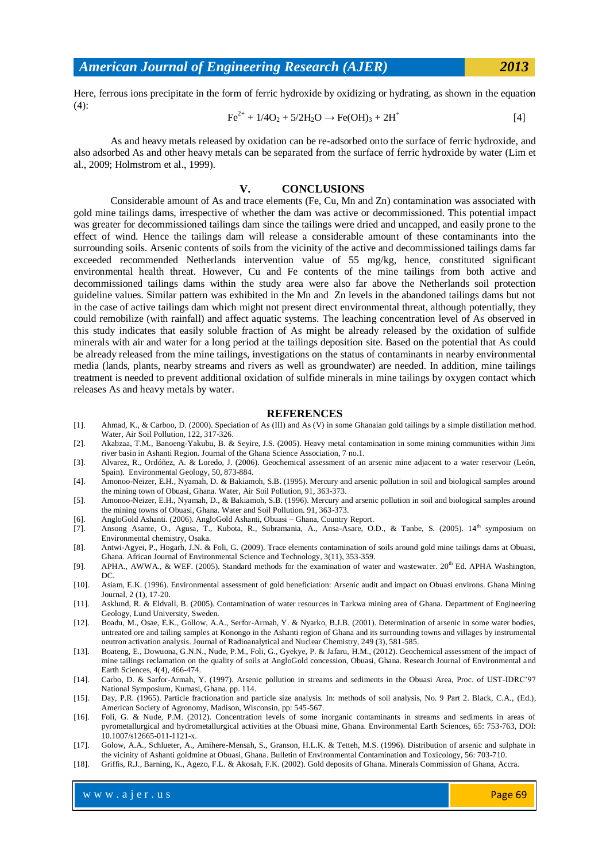Here, ferrous ions precipitate in the form of ferric hydroxide by oxidizing or hydrating, as shown in the equation  $(4)$ :

$$
Fe^{2+} + 1/4O_2 + 5/2H_2O \rightarrow Fe(OH)_3 + 2H^+
$$
 [4]

As and heavy metals released by oxidation can be re-adsorbed onto the surface of ferric hydroxide, and also adsorbed As and other heavy metals can be separated from the surface of ferric hydroxide by water (Lim et al., 2009; Holmstrom et al., 1999).

### **V. CONCLUSIONS**

Considerable amount of As and trace elements (Fe, Cu, Mn and Zn) contamination was associated with gold mine tailings dams, irrespective of whether the dam was active or decommissioned. This potential impact was greater for decommissioned tailings dam since the tailings were dried and uncapped, and easily prone to the effect of wind. Hence the tailings dam will release a considerable amount of these contaminants into the surrounding soils. Arsenic contents of soils from the vicinity of the active and decommissioned tailings dams far exceeded recommended Netherlands intervention value of 55 mg/kg, hence, constituted significant environmental health threat. However, Cu and Fe contents of the mine tailings from both active and decommissioned tailings dams within the study area were also far above the Netherlands soil protection guideline values. Similar pattern was exhibited in the Mn and Zn levels in the abandoned tailings dams but not in the case of active tailings dam which might not present direct environmental threat, although potentially, they could remobilize (with rainfall) and affect aquatic systems. The leaching concentration level of As observed in this study indicates that easily soluble fraction of As might be already released by the oxidation of sulfide minerals with air and water for a long period at the tailings deposition site. Based on the potential that As could be already released from the mine tailings, investigations on the status of contaminants in nearby environmental media (lands, plants, nearby streams and rivers as well as groundwater) are needed. In addition, mine tailings treatment is needed to prevent additional oxidation of sulfide minerals in mine tailings by oxygen contact which releases As and heavy metals by water.

#### **REFERENCES**

- [1]. Ahmad, K., & Carboo, D. (2000). Speciation of As (III) and As (V) in some Ghanaian gold tailings by a simple distillation method. Water, Air Soil Pollution, 122, 317-326.
- [2]. Akabzaa, T.M., Banoeng-Yakubu, B. & Seyire, J.S. (2005). Heavy metal contamination in some mining communities within Jimi river basin in Ashanti Region. Journal of the Ghana Science Association, 7 no.1.
- [3]. Alvarez, R., Ordóñez, A. & Loredo, J. (2006). Geochemical assessment of an arsenic mine adjacent to a water reservoir (León, Spain). Environmental Geology, 50, 873-884.
- [4]. Amonoo-Neizer, E.H., Nyamah, D. & Bakiamoh, S.B. (1995). Mercury and arsenic pollution in soil and biological samples around the mining town of Obuasi, Ghana. Water, Air Soil Pollution, 91, 363-373.
- [5]. Amonoo-Neizer, E.H., Nyamah, D., & Bakiamoh, S.B. (1996). Mercury and arsenic pollution in soil and biological samples around the mining towns of Obuasi, Ghana. Water and Soil Pollution. 91, 363-373.
- [6]. AngloGold Ashanti. (2006). AngloGold Ashanti, Obuasi Ghana, Country Report.
- [7]. Ansong Asante, O., Agusa, T., Kubota, R., Subramania, A., Ansa-Asare, O.D., & Tanbe, S. (2005). 14<sup>th</sup> symposium on Environmental chemistry, Osaka.
- [8]. Antwi-Agyei, P., Hogarh, J.N. & Foli, G. (2009). Trace elements contamination of soils around gold mine tailings dams at Obuasi, Ghana. African Journal of Environmental Science and Technology, 3(11), 353-359.
- [9]. APHA., AWWA., & WEF. (2005). Standard methods for the examination of water and wastewater. 20<sup>th</sup> Ed. APHA Washington, DC.
- [10]. Asiam, E.K. (1996). Environmental assessment of gold beneficiation: Arsenic audit and impact on Obuasi environs. Ghana Mining Journal, 2 (1), 17-20.
- [11]. Asklund, R. & Eldvall, B. (2005). Contamination of water resources in Tarkwa mining area of Ghana. Department of Engineering Geology, Lund University, Sweden.
- [12]. Boadu, M., Osae, E.K., Gollow, A.A., Serfor-Armah, Y. & Nyarko, B.J.B. (2001). Determination of arsenic in some water bodies, untreated ore and tailing samples at Konongo in the Ashanti region of Ghana and its surrounding towns and villages by instrumental neutron activation analysis. Journal of Radioanalytical and Nuclear Chemistry, 249 (3), 581-585.
- [13]. Boateng, E., Dowuona, G.N.N., Nude, P.M., Foli, G., Gyekye, P. & Jafaru, H.M., (2012). Geochemical assessment of the impact of mine tailings reclamation on the quality of soils at AngloGold concession, Obuasi, Ghana. Research Journal of Environmental a nd Earth Sciences, 4(4), 466-474.
- [14]. Carbo, D. & Sarfor-Armah, Y. (1997). Arsenic pollution in streams and sediments in the Obuasi Area, Proc. of UST-IDRC'97 National Symposium, Kumasi, Ghana. pp. 114.
- [15]. Day, P.R. (1965). Particle fractionation and particle size analysis. In: methods of soil analysis, No. 9 Part 2. Black, C.A., (Ed.), American Society of Agronomy, Madison, Wisconsin, pp: 545-567.
- [16]. Foli, G. & Nude, P.M. (2012). Concentration levels of some inorganic contaminants in streams and sediments in areas of pyrometallurgical and hydrometallurgical activities at the Obuasi mine, Ghana. Environmental Earth Sciences, 65: 753-763, DOI: 10.1007/s12665-011-1121-x.
- [17]. Golow, A.A., Schlueter, A., Amihere-Mensah, S., Granson, H.L.K. & Tetteh, M.S. (1996). Distribution of arsenic and sulphate in the vicinity of Ashanti goldmine at Obuasi, Ghana. Bulletin of Environmental Contamination and Toxicology, 56: 703-710.
- [18]. Griffis, R.J., Barning, K., Agezo, F.L. & Akosah, F.K. (2002). Gold deposits of Ghana. Minerals Commission of Ghana, Accra.

w w w . a jer . u s Page 69 and the result of the result of the Page 69 and the Page 69 and the Page 69 and the Page 69